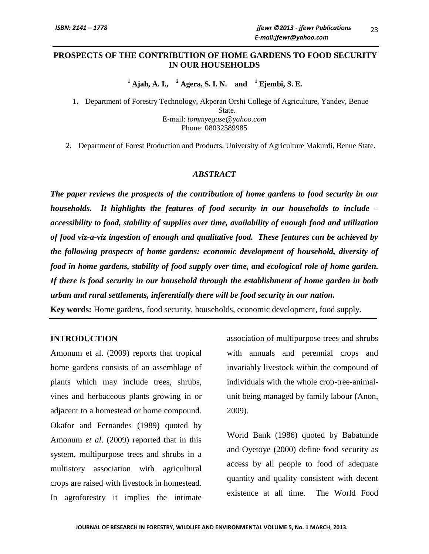### **PROSPECTS OF THE CONTRIBUTION OF HOME GARDENS TO FOOD SECURITY IN OUR HOUSEHOLDS**

**<sup>1</sup> Ajah, A. I., <sup>2</sup> Agera, S. I. N. and <sup>1</sup> Ejembi, S. E.**

1. Department of Forestry Technology, Akperan Orshi College of Agriculture, Yandev, Benue State. E-mail: *[tommyegase@yahoo.com](mailto:tommyegase@yahoo.com)* Phone: 08032589985

2. Department of Forest Production and Products, University of Agriculture Makurdi, Benue State.

### *ABSTRACT*

*The paper reviews the prospects of the contribution of home gardens to food security in our households. It highlights the features of food security in our households to include – accessibility to food, stability of supplies over time, availability of enough food and utilization of food viz-a-viz ingestion of enough and qualitative food. These features can be achieved by the following prospects of home gardens: economic development of household, diversity of food in home gardens, stability of food supply over time, and ecological role of home garden. If there is food security in our household through the establishment of home garden in both urban and rural settlements, inferentially there will be food security in our nation.* 

**Key words:** Home gardens, food security, households, economic development, food supply.

### **INTRODUCTION**

Amonum et al. (2009) reports that tropical home gardens consists of an assemblage of plants which may include trees, shrubs, vines and herbaceous plants growing in or adjacent to a homestead or home compound. Okafor and Fernandes (1989) quoted by Amonum *et al*. (2009) reported that in this system, multipurpose trees and shrubs in a multistory association with agricultural crops are raised with livestock in homestead. In agroforestry it implies the intimate

association of multipurpose trees and shrubs with annuals and perennial crops and invariably livestock within the compound of individuals with the whole crop-tree-animalunit being managed by family labour (Anon, 2009).

World Bank (1986) quoted by Babatunde and Oyetoye (2000) define food security as access by all people to food of adequate quantity and quality consistent with decent existence at all time. The World Food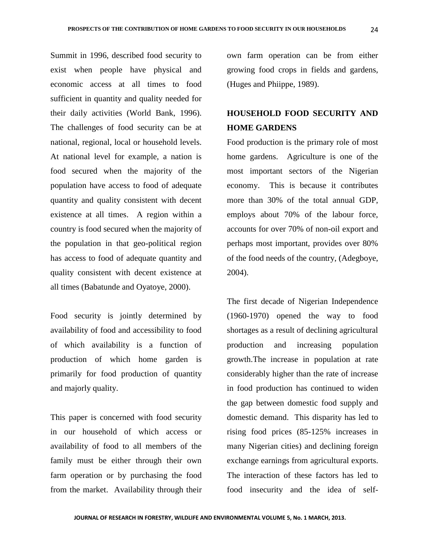Summit in 1996, described food security to exist when people have physical and economic access at all times to food sufficient in quantity and quality needed for their daily activities (World Bank, 1996). The challenges of food security can be at national, regional, local or household levels. At national level for example, a nation is food secured when the majority of the population have access to food of adequate quantity and quality consistent with decent existence at all times. A region within a country is food secured when the majority of the population in that geo-political region has access to food of adequate quantity and quality consistent with decent existence at all times (Babatunde and Oyatoye, 2000).

Food security is jointly determined by availability of food and accessibility to food of which availability is a function of production of which home garden is primarily for food production of quantity and majorly quality.

This paper is concerned with food security in our household of which access or availability of food to all members of the family must be either through their own farm operation or by purchasing the food from the market. Availability through their own farm operation can be from either growing food crops in fields and gardens, (Huges and Phiippe, 1989).

# **HOUSEHOLD FOOD SECURITY AND HOME GARDENS**

Food production is the primary role of most home gardens. Agriculture is one of the most important sectors of the Nigerian economy. This is because it contributes more than 30% of the total annual GDP, employs about 70% of the labour force, accounts for over 70% of non-oil export and perhaps most important, provides over 80% of the food needs of the country, (Adegboye, 2004).

The first decade of Nigerian Independence (1960-1970) opened the way to food shortages as a result of declining agricultural production and increasing population growth.The increase in population at rate considerably higher than the rate of increase in food production has continued to widen the gap between domestic food supply and domestic demand. This disparity has led to rising food prices (85-125% increases in many Nigerian cities) and declining foreign exchange earnings from agricultural exports. The interaction of these factors has led to food insecurity and the idea of self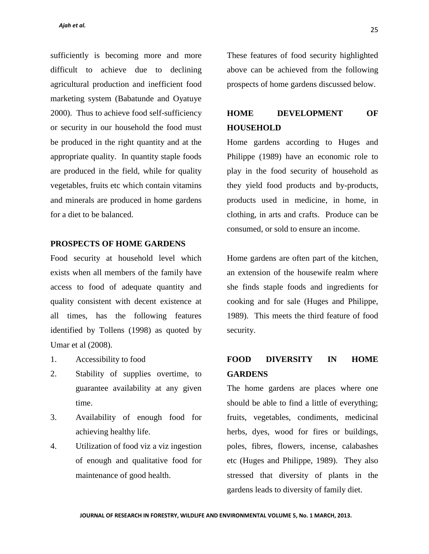sufficiently is becoming more and more difficult to achieve due to declining agricultural production and inefficient food marketing system (Babatunde and Oyatuye 2000). Thus to achieve food self-sufficiency or security in our household the food must be produced in the right quantity and at the appropriate quality. In quantity staple foods are produced in the field, while for quality vegetables, fruits etc which contain vitamins and minerals are produced in home gardens for a diet to be balanced.

### **PROSPECTS OF HOME GARDENS**

Food security at household level which exists when all members of the family have access to food of adequate quantity and quality consistent with decent existence at all times, has the following features identified by Tollens (1998) as quoted by Umar et al (2008).

- 1. Accessibility to food
- 2. Stability of supplies overtime, to guarantee availability at any given time.
- 3. Availability of enough food for achieving healthy life.
- 4. Utilization of food viz a viz ingestion of enough and qualitative food for maintenance of good health.

These features of food security highlighted above can be achieved from the following prospects of home gardens discussed below.

## **HOME DEVELOPMENT OF HOUSEHOLD**

Home gardens according to Huges and Philippe (1989) have an economic role to play in the food security of household as they yield food products and by-products, products used in medicine, in home, in clothing, in arts and crafts. Produce can be consumed, or sold to ensure an income.

Home gardens are often part of the kitchen, an extension of the housewife realm where she finds staple foods and ingredients for cooking and for sale (Huges and Philippe, 1989). This meets the third feature of food security.

## **FOOD DIVERSITY IN HOME GARDENS**

The home gardens are places where one should be able to find a little of everything; fruits, vegetables, condiments, medicinal herbs, dyes, wood for fires or buildings, poles, fibres, flowers, incense, calabashes etc (Huges and Philippe, 1989). They also stressed that diversity of plants in the gardens leads to diversity of family diet.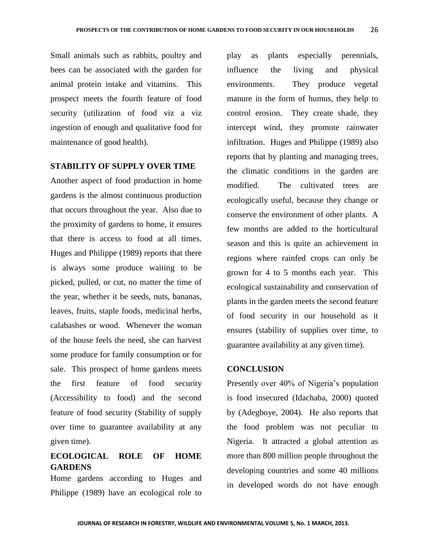Small animals such as rabbits, poultry and bees can be associated with the garden for animal protein intake and vitamins. This prospect meets the fourth feature of food security (utilization of food viz a viz ingestion of enough and qualitative food for maintenance of good health).

### **STABILITY OF SUPPLY OVER TIME**

Another aspect of food production in home gardens is the almost continuous production that occurs throughout the year. Also due to the proximity of gardens to home, it ensures that there is access to food at all times. Huges and Philippe (1989) reports that there is always some produce waiting to be picked, pulled, or cut, no matter the time of the year, whether it be seeds, nuts, bananas, leaves, fruits, staple foods, medicinal herbs, calabashes or wood. Whenever the woman of the house feels the need, she can harvest some produce for family consumption or for sale. This prospect of home gardens meets the first feature of food security (Accessibility to food) and the second feature of food security (Stability of supply over time to guarantee availability at any given time).

### **ECOLOGICAL ROLE OF HOME GARDENS**

Home gardens according to Huges and Philippe (1989) have an ecological role to

play as plants especially perennials, influence the living and physical environments. They produce vegetal manure in the form of humus, they help to control erosion. They create shade, they intercept wind, they promote rainwater infiltration. Huges and Philippe (1989) also reports that by planting and managing trees, the climatic conditions in the garden are modified. The cultivated trees are ecologically useful, because they change or conserve the environment of other plants. A few months are added to the horticultural season and this is quite an achievement in regions where rainfed crops can only be grown for 4 to 5 months each year. This ecological sustainability and conservation of plants in the garden meets the second feature of food security in our household as it ensures (stability of supplies over time, to guarantee availability at any given time).

#### **CONCLUSION**

Presently over 40% of Nigeria's population is food insecured (Idachaba, 2000) quoted by (Adegboye, 2004). He also reports that the food problem was not peculiar to Nigeria. It attracted a global attention as more than 800 million people throughout the developing countries and some 40 millions in developed words do not have enough